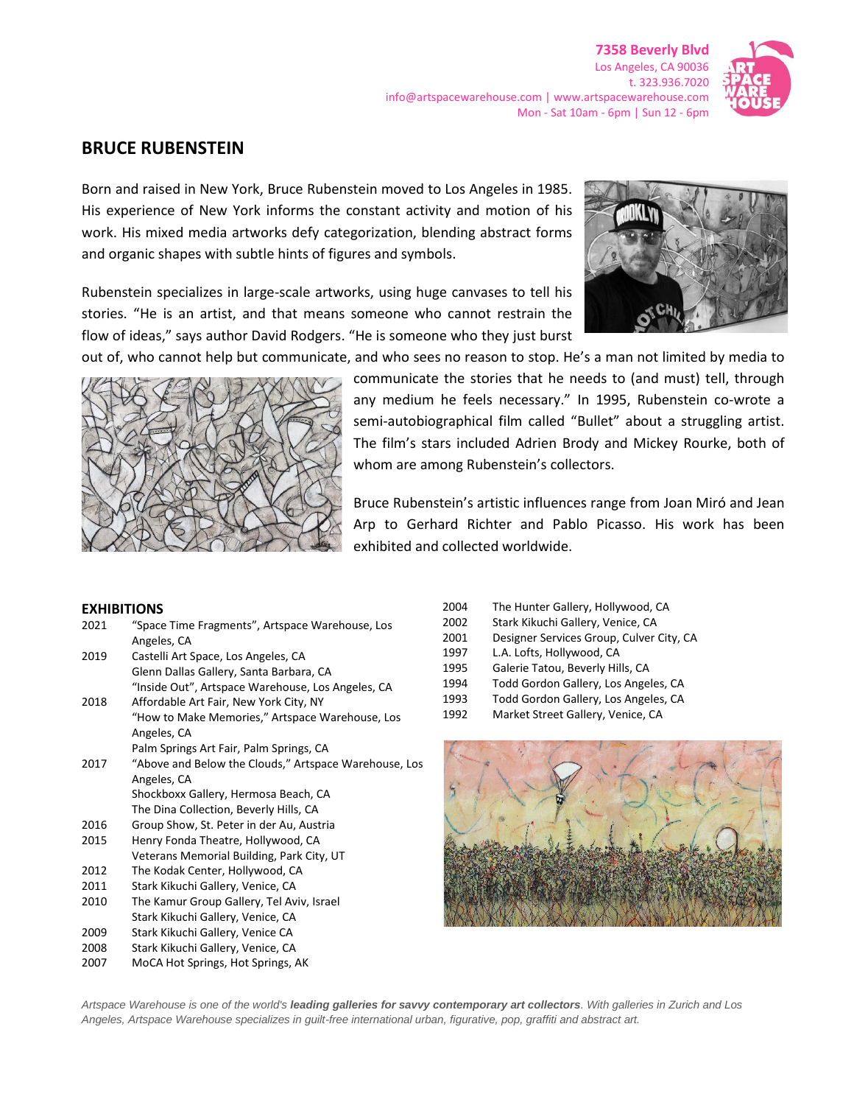

# **BRUCE RUBENSTEIN**

Born and raised in New York, Bruce Rubenstein moved to Los Angeles in 1985. His experience of New York informs the constant activity and motion of his work. His mixed media artworks defy categorization, blending abstract forms and organic shapes with subtle hints of figures and symbols.

Rubenstein specializes in large-scale artworks, using huge canvases to tell his stories. "He is an artist, and that means someone who cannot restrain the flow of ideas," says author David Rodgers. "He is someone who they just burst



out of, who cannot help but communicate, and who sees no reason to stop. He's a man not limited by media to



communicate the stories that he needs to (and must) tell, through any medium he feels necessary." In 1995, Rubenstein co-wrote a semi-autobiographical film called "Bullet" about a struggling artist. The film's stars included Adrien Brody and Mickey Rourke, both of whom are among Rubenstein's collectors.

Bruce Rubenstein's artistic influences range from Joan Miró and Jean Arp to Gerhard Richter and Pablo Picasso. His work has been exhibited and collected worldwide.

# **EXHIBITIONS**

| 2021 | "Space Time Fragments", Artspace Warehouse, Los       |
|------|-------------------------------------------------------|
|      | Angeles, CA                                           |
| 2019 | Castelli Art Space, Los Angeles, CA                   |
|      | Glenn Dallas Gallery, Santa Barbara, CA               |
|      | "Inside Out", Artspace Warehouse, Los Angeles, CA     |
| 2018 | Affordable Art Fair, New York City, NY                |
|      | "How to Make Memories," Artspace Warehouse, Los       |
|      | Angeles, CA                                           |
|      | Palm Springs Art Fair, Palm Springs, CA               |
| 2017 | "Above and Below the Clouds," Artspace Warehouse, Los |
|      | Angeles, CA                                           |
|      | Shockboxx Gallery, Hermosa Beach, CA                  |
|      | The Dina Collection, Beverly Hills, CA                |
| 2016 | Group Show, St. Peter in der Au, Austria              |
| 2015 | Henry Fonda Theatre, Hollywood, CA                    |
|      | Veterans Memorial Building, Park City, UT             |
| 2012 | The Kodak Center, Hollywood, CA                       |
| 2011 | Stark Kikuchi Gallery, Venice, CA                     |
| 2010 | The Kamur Group Gallery, Tel Aviv, Israel             |
|      | Stark Kikuchi Gallery, Venice, CA                     |
|      |                                                       |

- 2009 Stark Kikuchi Gallery, Venice CA
- 2008 Stark Kikuchi Gallery, Venice, CA
- 2007 MoCA Hot Springs, Hot Springs, AK
- 2004 The Hunter Gallery, Hollywood, CA
- 2002 Stark Kikuchi Gallery, Venice, CA
- 2001 Designer Services Group, Culver City, CA
- 1997 L.A. Lofts, Hollywood, CA
- 1995 Galerie Tatou, Beverly Hills, CA
- 1994 Todd Gordon Gallery, Los Angeles, CA
- 1993 Todd Gordon Gallery, Los Angeles, CA
- 1992 Market Street Gallery, Venice, CA



*Artspace Warehouse is one of the world's leading galleries for savvy contemporary art collectors. With galleries in Zurich and Los Angeles, Artspace Warehouse specializes in guilt-free international urban, figurative, pop, graffiti and abstract art.*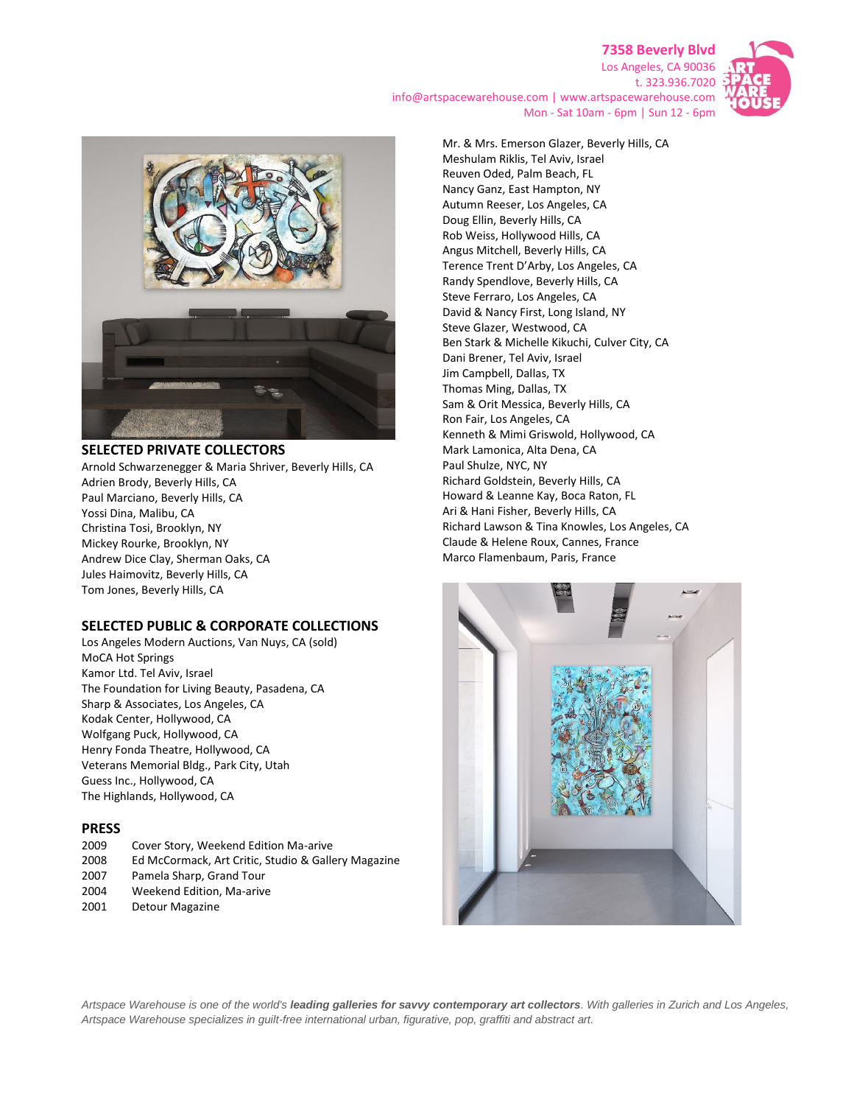## **7358 Beverly Blvd** Los Angeles, CA 90036



t. 323.936.7020 info@artspacewarehouse.com | www.artspacewarehouse.com Mon - Sat 10am - 6pm | Sun 12 - 6pm



#### **SELECTED PRIVATE COLLECTORS**

Arnold Schwarzenegger & Maria Shriver, Beverly Hills, CA Adrien Brody, Beverly Hills, CA Paul Marciano, Beverly Hills, CA Yossi Dina, Malibu, CA Christina Tosi, Brooklyn, NY Mickey Rourke, Brooklyn, NY Andrew Dice Clay, Sherman Oaks, CA Jules Haimovitz, Beverly Hills, CA Tom Jones, Beverly Hills, CA

#### **SELECTED PUBLIC & CORPORATE COLLECTIONS**

Los Angeles Modern Auctions, Van Nuys, CA (sold) MoCA Hot Springs Kamor Ltd. Tel Aviv, Israel The Foundation for Living Beauty, Pasadena, CA Sharp & Associates, Los Angeles, CA Kodak Center, Hollywood, CA Wolfgang Puck, Hollywood, CA Henry Fonda Theatre, Hollywood, CA Veterans Memorial Bldg., Park City, Utah Guess Inc., Hollywood, CA The Highlands, Hollywood, CA

## **PRESS**

| 2009 | Cover Story, Weekend Edition Ma-arive               |
|------|-----------------------------------------------------|
| 2008 | Ed McCormack, Art Critic, Studio & Gallery Magazine |
| 2007 | Pamela Sharp, Grand Tour                            |
| 2004 | Weekend Edition. Ma-arive                           |
| 2001 | Detour Magazine                                     |
|      |                                                     |

Mr. & Mrs. Emerson Glazer, Beverly Hills, CA Meshulam Riklis, Tel Aviv, Israel Reuven Oded, Palm Beach, FL Nancy Ganz, East Hampton, NY Autumn Reeser, Los Angeles, CA Doug Ellin, Beverly Hills, CA Rob Weiss, Hollywood Hills, CA Angus Mitchell, Beverly Hills, CA Terence Trent D'Arby, Los Angeles, CA Randy Spendlove, Beverly Hills, CA Steve Ferraro, Los Angeles, CA David & Nancy First, Long Island, NY Steve Glazer, Westwood, CA Ben Stark & Michelle Kikuchi, Culver City, CA Dani Brener, Tel Aviv, Israel Jim Campbell, Dallas, TX Thomas Ming, Dallas, TX Sam & Orit Messica, Beverly Hills, CA Ron Fair, Los Angeles, CA Kenneth & Mimi Griswold, Hollywood, CA Mark Lamonica, Alta Dena, CA Paul Shulze, NYC, NY Richard Goldstein, Beverly Hills, CA Howard & Leanne Kay, Boca Raton, FL Ari & Hani Fisher, Beverly Hills, CA Richard Lawson & Tina Knowles, Los Angeles, CA Claude & Helene Roux, Cannes, France Marco Flamenbaum, Paris, France



*Artspace Warehouse is one of the world's leading galleries for savvy contemporary art collectors. With galleries in Zurich and Los Angeles, Artspace Warehouse specializes in guilt-free international urban, figurative, pop, graffiti and abstract art.*